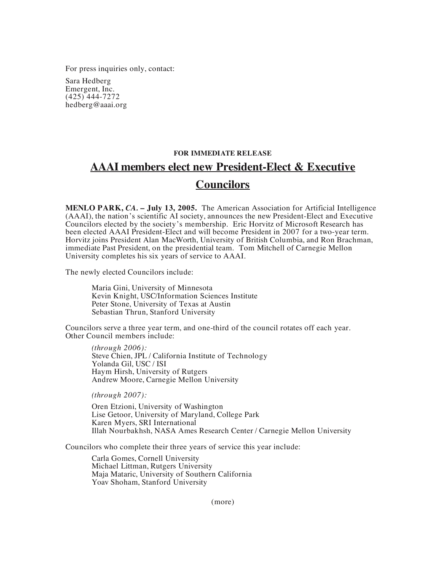For press inquiries only, contact:

Sara Hedberg Emergent, Inc. (425) 444-7272 hedberg@aaai.org

## **FOR IMMEDIATE RELEASE AAAI members elect new President-Elect & Executive Councilors**

**MENLO PARK,** *CA.* **– July 13, 2005.** The American Association for Artificial Intelligence (AAAI), the nation's scientific AI society, announces the new President-Elect and Executive Councilors elected by the society's membership. Eric Horvitz of Microsoft Research has been elected AAAI President-Elect and will become President in 2007 for a two-year term. Horvitz joins President Alan MacWorth, University of British Columbia, and Ron Brachman, immediate Past President, on the presidential team. Tom Mitchell of Carnegie Mellon University completes his six years of service to AAAI.

The newly elected Councilors include:

Maria Gini, University of Minnesota Kevin Knight, USC/Information Sciences Institute Peter Stone, University of Texas at Austin Sebastian Thrun, Stanford University

Councilors serve a three year term, and one-third of the council rotates off each year. Other Council members include:

*(through 2006):* Steve Chien, JPL / California Institute of Technology Yolanda Gil, USC / ISI Haym Hirsh, University of Rutgers Andrew Moore, Carnegie Mellon University

*(through 2007):*

Oren Etzioni, University of Washington Lise Getoor, University of Maryland, College Park Karen Myers, SRI International Illah Nourbakhsh, NASA Ames Research Center / Carnegie Mellon University

Councilors who complete their three years of service this year include:

Carla Gomes, Cornell University Michael Littman, Rutgers University Maja Mataric, University of Southern California Yoav Shoham, Stanford University

(more)